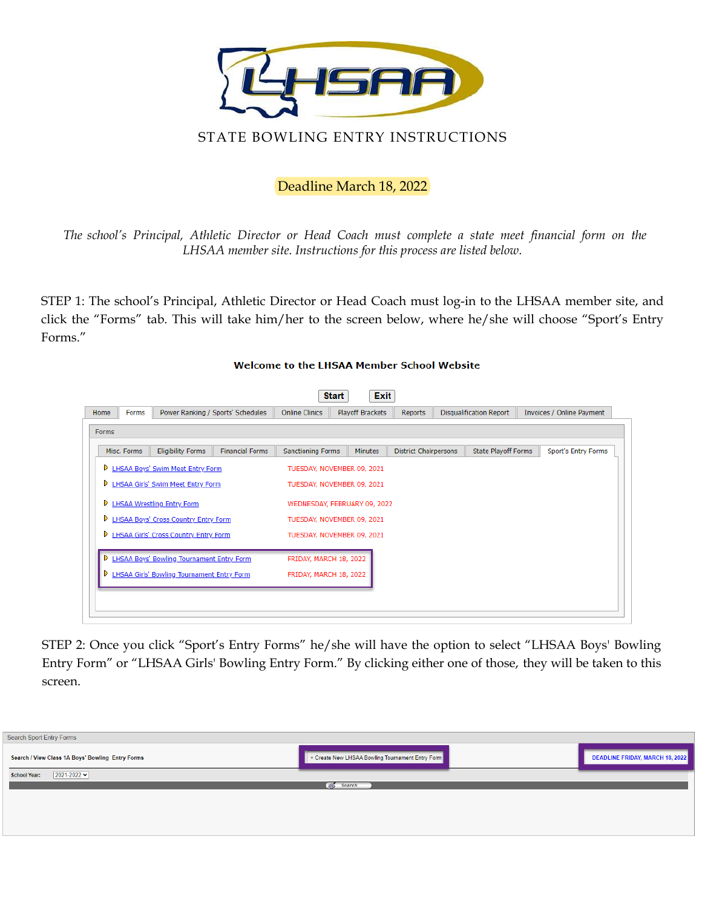

## Deadline March 18, 2022

*The school's Principal, Athletic Director or Head Coach must complete a state meet financial form on the LHSAA member site. Instructions for this process are listed below.* 

STEP 1: The school's Principal, Athletic Director or Head Coach must log-in to the LHSAA member site, and click the "Forms" tab. This will take him/her to the screen below, where he/she will choose "Sport's Entry Forms."

## **Start** Exit Home | Forms Power Ranking / Sports' Schedules Online Clinics Playoff Brackets Reports Disqualification Report Invoices / Online Payment Forms Misc. Forms | Eligibility Forms | Financial Forms Sanctioning Forms Minutes District Chairpersons State Playoff Forms Sport's Entry Forms **D** LHSAA Boys' Swim Meet Entry Form TUESDAY, NOVEMBER 09, 2021 **D** LHSAA Girls' Swim Meet Entry Form TUESDAY, NOVEMBER 09, 2021 **D** LHSAA Wrestling Entry Form WEDNESDAY, FEBRUARY 09, 2022 **D** LHSAA Boys' Cross Country Entry Form TUESDAY, NOVEMBER 09, 2021 **D** LHSAA Girls' Cross Country Entry Form TUESDAY, NOVEMBER 09, 2021 **D** LHSAA Boys' Bowling Tournament Entry Form FRIDAY, MARCH 18, 2022 **D** LHSAA Girls' Bowling Tournament Entry Form FRIDAY, MARCH 18, 2022

## **Welcome to the LHSAA Member School Website**

STEP 2: Once you click "Sport's Entry Forms" he/she will have the option to select "LHSAA Boys' Bowling Entry Form" or "LHSAA Girls' Bowling Entry Form." By clicking either one of those, they will be taken to this screen.

| Search Sport Entry Forms                         |                                                  |                                        |
|--------------------------------------------------|--------------------------------------------------|----------------------------------------|
| Search / View Class 1A Boys' Bowling Entry Forms | + Create New LHSAA Bowling Tournament Entry Form | <b>DEADLINE FRIDAY, MARCH 18, 2022</b> |
| $2021 - 2022$<br><b>School Year:</b>             |                                                  |                                        |
|                                                  | $\frac{1}{2}$ Search                             |                                        |
|                                                  |                                                  |                                        |
|                                                  |                                                  |                                        |
|                                                  |                                                  |                                        |
|                                                  |                                                  |                                        |
|                                                  |                                                  |                                        |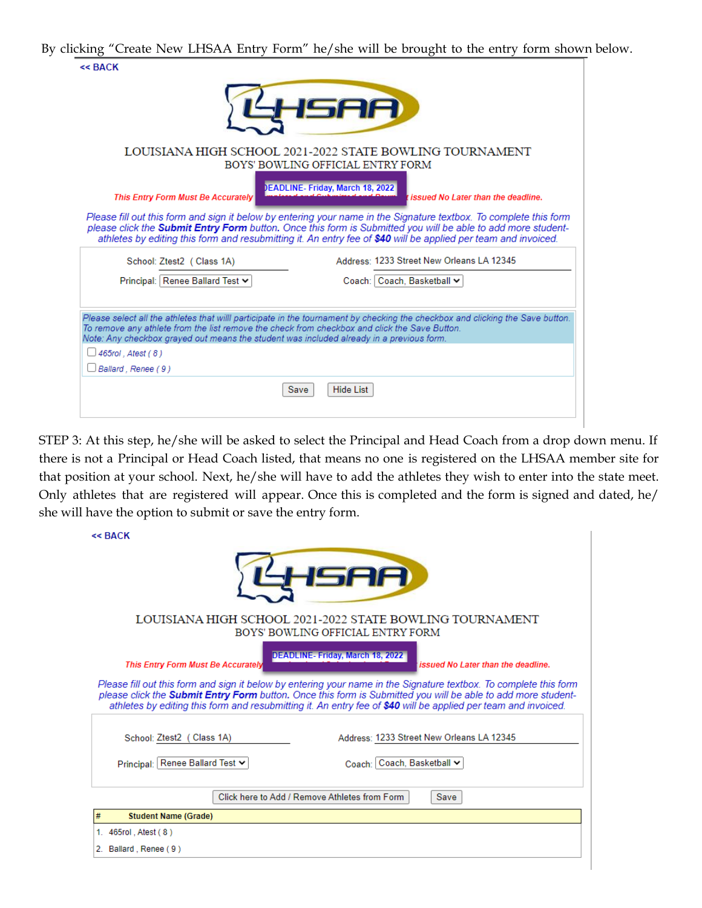By clicking "Create New LHSAA Entry Form" he/she will be brought to the entry form shown below.

|                                                           | LOUISIANA HIGH SCHOOL 2021-2022 STATE BOWLING TOURNAMENT<br>BOYS' BOWLING OFFICIAL ENTRY FORM                                                                                                                                                                                                                                                              |                                    |
|-----------------------------------------------------------|------------------------------------------------------------------------------------------------------------------------------------------------------------------------------------------------------------------------------------------------------------------------------------------------------------------------------------------------------------|------------------------------------|
| This Entry Form Must Be Accurately                        | EADLINE- Friday, March 18, 2022                                                                                                                                                                                                                                                                                                                            | issued No Later than the deadline. |
|                                                           | Please fill out this form and sign it below by entering your name in the Signature textbox. To complete this form<br>please click the <b>Submit Entry Form</b> button. Once this form is Submitted you will be able to add more student-<br>athletes by editing this form and resubmitting it. An entry fee of \$40 will be applied per team and invoiced. |                                    |
| School: Ztest2 (Class 1A)                                 | Address: 1233 Street New Orleans LA 12345                                                                                                                                                                                                                                                                                                                  |                                    |
| Principal: Renee Ballard Test v                           | Coach: Coach, Basketball ~                                                                                                                                                                                                                                                                                                                                 |                                    |
|                                                           | Please select all the athletes that willl participate in the tournament by checking the checkbox and clicking the Save button.<br>To remove any athlete from the list remove the check from checkbox and click the Save Button.                                                                                                                            |                                    |
| $\Box$ 465rol . Atest ( 8 )<br>$\Box$ Ballard , Renee (9) | Note: Any checkbox grayed out means the student was included already in a previous form.                                                                                                                                                                                                                                                                   |                                    |

STEP 3: At this step, he/she will be asked to select the Principal and Head Coach from a drop down menu. If there is not a Principal or Head Coach listed, that means no one is registered on the LHSAA member site for that position at your school. Next, he/she will have to add the athletes they wish to enter into the state meet. Only athletes that are registered will appear. Once this is completed and the form is signed and dated, he/ she will have the option to submit or save the entry form.

| $<<$ BACK                          |                                                                                                                                                                                                                                                                                                                                                     |
|------------------------------------|-----------------------------------------------------------------------------------------------------------------------------------------------------------------------------------------------------------------------------------------------------------------------------------------------------------------------------------------------------|
|                                    | 71 H                                                                                                                                                                                                                                                                                                                                                |
|                                    | LOUISIANA HIGH SCHOOL 2021-2022 STATE BOWLING TOURNAMENT<br>BOYS' BOWLING OFFICIAL ENTRY FORM                                                                                                                                                                                                                                                       |
| This Entry Form Must Be Accurately | DEADLINE-Friday, March 18, 2022<br>issued No Later than the deadline.                                                                                                                                                                                                                                                                               |
|                                    |                                                                                                                                                                                                                                                                                                                                                     |
|                                    | Please fill out this form and sign it below by entering your name in the Signature textbox. To complete this form<br>please click the Submit Entry Form button. Once this form is Submitted you will be able to add more student-<br>athletes by editing this form and resubmitting it. An entry fee of \$40 will be applied per team and invoiced. |
| School: Ztest2 (Class 1A)          | Address: 1233 Street New Orleans LA 12345                                                                                                                                                                                                                                                                                                           |
| Principal: Renee Ballard Test v    | Coach: Coach, Basketball v                                                                                                                                                                                                                                                                                                                          |
|                                    | Click here to Add / Remove Athletes from Form<br>Save                                                                                                                                                                                                                                                                                               |
| <b>Student Name (Grade)</b><br>#   |                                                                                                                                                                                                                                                                                                                                                     |
| 1. 465rol, Atest (8)               |                                                                                                                                                                                                                                                                                                                                                     |